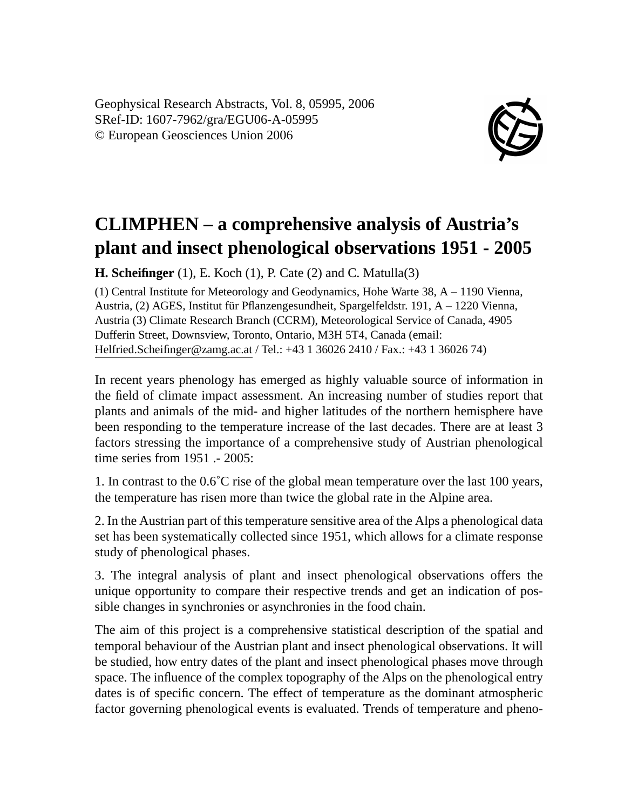Geophysical Research Abstracts, Vol. 8, 05995, 2006 SRef-ID: 1607-7962/gra/EGU06-A-05995 © European Geosciences Union 2006



## **CLIMPHEN – a comprehensive analysis of Austria's plant and insect phenological observations 1951 - 2005**

**H. Scheifinger** (1), E. Koch (1), P. Cate (2) and C. Matulla(3)

(1) Central Institute for Meteorology and Geodynamics, Hohe Warte 38, A – 1190 Vienna, Austria, (2) AGES, Institut für Pflanzengesundheit, Spargelfeldstr. 191, A – 1220 Vienna, Austria (3) Climate Research Branch (CCRM), Meteorological Service of Canada, 4905 Dufferin Street, Downsview, Toronto, Ontario, M3H 5T4, Canada (email: Helfried.Scheifinger@zamg.ac.at / Tel.: +43 1 36026 2410 / Fax.: +43 1 36026 74)

In recent years phenology has emerged as highly valuable source of information in the field of climate impact assessment. An increasing number of studies report that plants and animals of the mid- and higher latitudes of the northern hemisphere have been responding to the temperature increase of the last decades. There are at least 3 factors stressing the importance of a comprehensive study of Austrian phenological time series from 1951 .- 2005:

1. In contrast to the  $0.6^{\circ}$ C rise of the global mean temperature over the last 100 years, the temperature has risen more than twice the global rate in the Alpine area.

2. In the Austrian part of this temperature sensitive area of the Alps a phenological data set has been systematically collected since 1951, which allows for a climate response study of phenological phases.

3. The integral analysis of plant and insect phenological observations offers the unique opportunity to compare their respective trends and get an indication of possible changes in synchronies or asynchronies in the food chain.

The aim of this project is a comprehensive statistical description of the spatial and temporal behaviour of the Austrian plant and insect phenological observations. It will be studied, how entry dates of the plant and insect phenological phases move through space. The influence of the complex topography of the Alps on the phenological entry dates is of specific concern. The effect of temperature as the dominant atmospheric factor governing phenological events is evaluated. Trends of temperature and pheno-